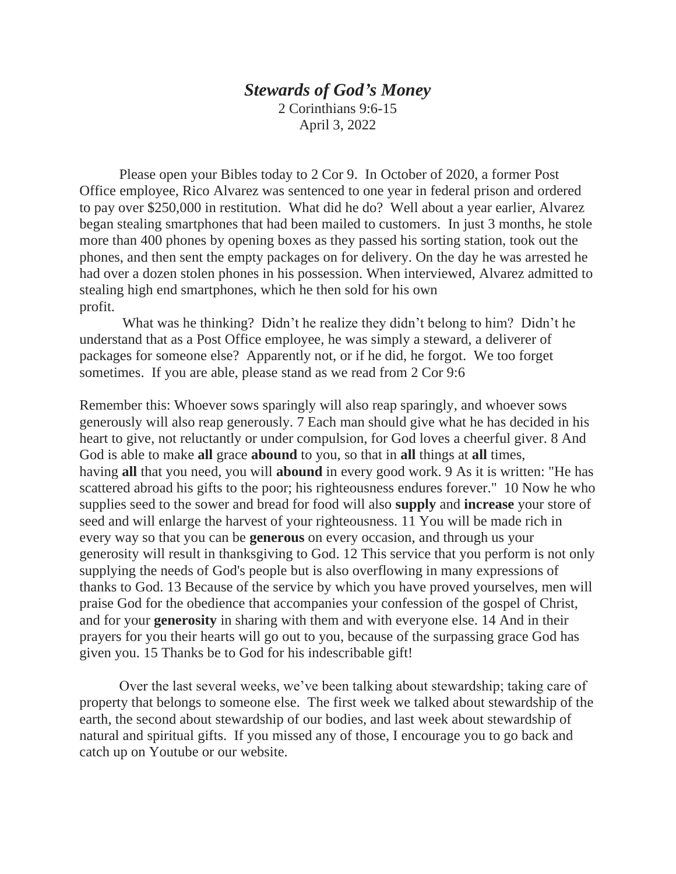## *Stewards of God's Money* 2 Corinthians 9:6-15

April 3, 2022

Please open your Bibles today to 2 Cor 9. In October of 2020, a former Post Office employee, Rico Alvarez was sentenced to one year in federal prison and ordered to pay over \$250,000 in restitution. What did he do? Well about a year earlier, Alvarez began stealing smartphones that had been mailed to customers. In just 3 months, he stole more than 400 phones by opening boxes as they passed his sorting station, took out the phones, and then sent the empty packages on for delivery. On the day he was arrested he had over a dozen stolen phones in his possession. When interviewed, Alvarez admitted to stealing high end smartphones, which he then sold for his own profit.

 What was he thinking? Didn't he realize they didn't belong to him? Didn't he understand that as a Post Office employee, he was simply a steward, a deliverer of packages for someone else? Apparently not, or if he did, he forgot. We too forget sometimes. If you are able, please stand as we read from 2 Cor 9:6

Remember this: Whoever sows sparingly will also reap sparingly, and whoever sows generously will also reap generously. 7 Each man should give what he has decided in his heart to give, not reluctantly or under compulsion, for God loves a cheerful giver. 8 And God is able to make **all** grace **abound** to you, so that in **all** things at **all** times, having **all** that you need, you will **abound** in every good work. 9 As it is written: "He has scattered abroad his gifts to the poor; his righteousness endures forever." 10 Now he who supplies seed to the sower and bread for food will also **supply** and **increase** your store of seed and will enlarge the harvest of your righteousness. 11 You will be made rich in every way so that you can be **generous** on every occasion, and through us your generosity will result in thanksgiving to God. 12 This service that you perform is not only supplying the needs of God's people but is also overflowing in many expressions of thanks to God. 13 Because of the service by which you have proved yourselves, men will praise God for the obedience that accompanies your confession of the gospel of Christ, and for your **generosity** in sharing with them and with everyone else. 14 And in their prayers for you their hearts will go out to you, because of the surpassing grace God has given you. 15 Thanks be to God for his indescribable gift!

Over the last several weeks, we've been talking about stewardship; taking care of property that belongs to someone else. The first week we talked about stewardship of the earth, the second about stewardship of our bodies, and last week about stewardship of natural and spiritual gifts. If you missed any of those, I encourage you to go back and catch up on Youtube or our website.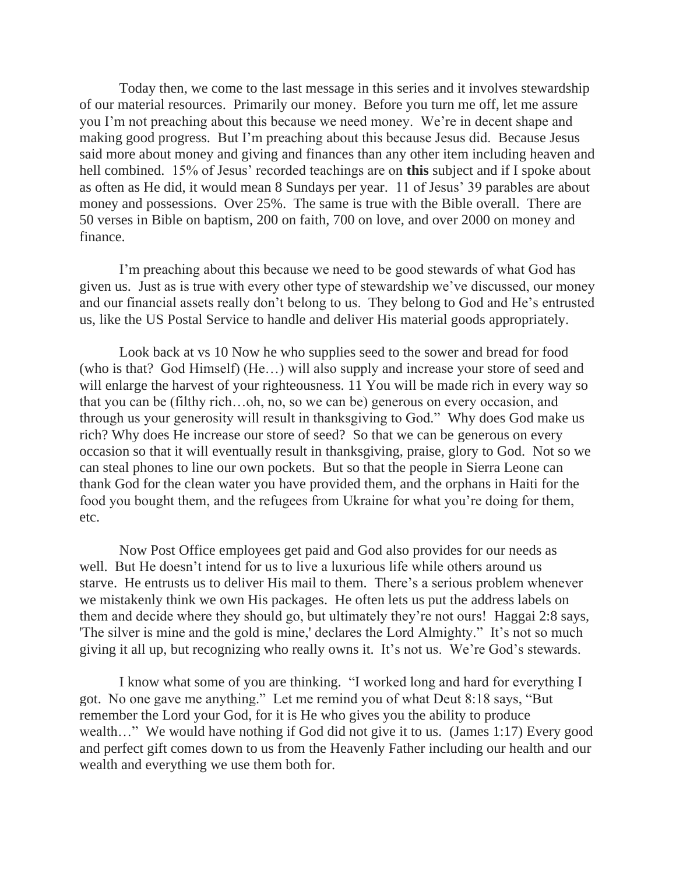Today then, we come to the last message in this series and it involves stewardship of our material resources. Primarily our money. Before you turn me off, let me assure you I'm not preaching about this because we need money. We're in decent shape and making good progress. But I'm preaching about this because Jesus did. Because Jesus said more about money and giving and finances than any other item including heaven and hell combined. 15% of Jesus' recorded teachings are on **this** subject and if I spoke about as often as He did, it would mean 8 Sundays per year. 11 of Jesus' 39 parables are about money and possessions. Over 25%. The same is true with the Bible overall. There are 50 verses in Bible on baptism, 200 on faith, 700 on love, and over 2000 on money and finance.

I'm preaching about this because we need to be good stewards of what God has given us. Just as is true with every other type of stewardship we've discussed, our money and our financial assets really don't belong to us. They belong to God and He's entrusted us, like the US Postal Service to handle and deliver His material goods appropriately.

Look back at vs 10 Now he who supplies seed to the sower and bread for food (who is that? God Himself) (He…) will also supply and increase your store of seed and will enlarge the harvest of your righteousness. 11 You will be made rich in every way so that you can be (filthy rich…oh, no, so we can be) generous on every occasion, and through us your generosity will result in thanksgiving to God." Why does God make us rich? Why does He increase our store of seed? So that we can be generous on every occasion so that it will eventually result in thanksgiving, praise, glory to God. Not so we can steal phones to line our own pockets. But so that the people in Sierra Leone can thank God for the clean water you have provided them, and the orphans in Haiti for the food you bought them, and the refugees from Ukraine for what you're doing for them, etc.

Now Post Office employees get paid and God also provides for our needs as well. But He doesn't intend for us to live a luxurious life while others around us starve. He entrusts us to deliver His mail to them. There's a serious problem whenever we mistakenly think we own His packages. He often lets us put the address labels on them and decide where they should go, but ultimately they're not ours! Haggai 2:8 says, 'The silver is mine and the gold is mine,' declares the Lord Almighty." It's not so much giving it all up, but recognizing who really owns it. It's not us. We're God's stewards.

I know what some of you are thinking. "I worked long and hard for everything I got. No one gave me anything." Let me remind you of what Deut 8:18 says, "But remember the Lord your God, for it is He who gives you the ability to produce wealth..." We would have nothing if God did not give it to us. (James 1:17) Every good and perfect gift comes down to us from the Heavenly Father including our health and our wealth and everything we use them both for.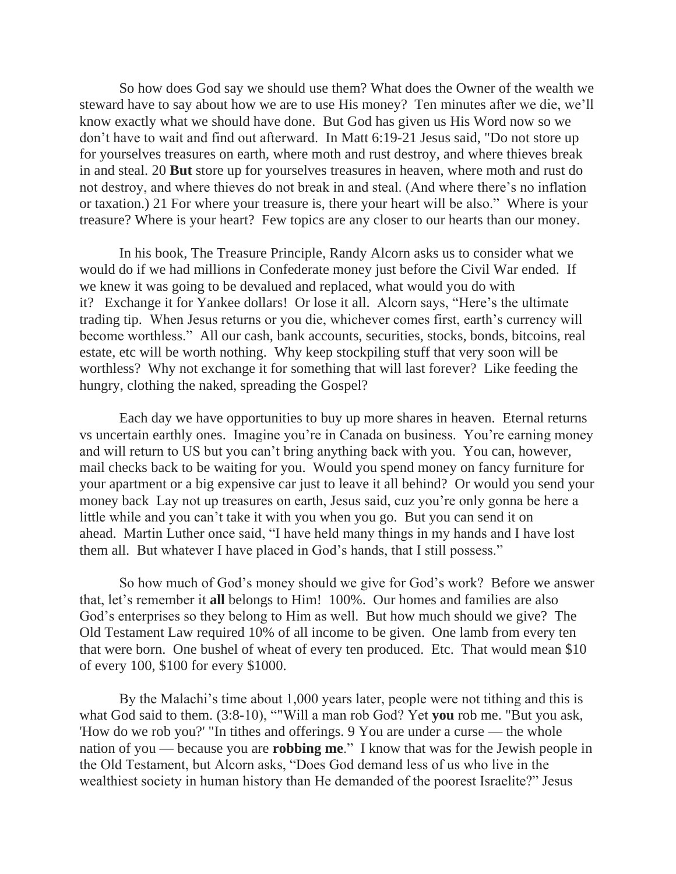So how does God say we should use them? What does the Owner of the wealth we steward have to say about how we are to use His money? Ten minutes after we die, we'll know exactly what we should have done. But God has given us His Word now so we don't have to wait and find out afterward. In Matt 6:19-21 Jesus said, "Do not store up for yourselves treasures on earth, where moth and rust destroy, and where thieves break in and steal. 20 **But** store up for yourselves treasures in heaven, where moth and rust do not destroy, and where thieves do not break in and steal. (And where there's no inflation or taxation.) 21 For where your treasure is, there your heart will be also." Where is your treasure? Where is your heart? Few topics are any closer to our hearts than our money.

In his book, The Treasure Principle, Randy Alcorn asks us to consider what we would do if we had millions in Confederate money just before the Civil War ended. If we knew it was going to be devalued and replaced, what would you do with it? Exchange it for Yankee dollars! Or lose it all. Alcorn says, "Here's the ultimate trading tip. When Jesus returns or you die, whichever comes first, earth's currency will become worthless." All our cash, bank accounts, securities, stocks, bonds, bitcoins, real estate, etc will be worth nothing. Why keep stockpiling stuff that very soon will be worthless? Why not exchange it for something that will last forever? Like feeding the hungry, clothing the naked, spreading the Gospel?

Each day we have opportunities to buy up more shares in heaven. Eternal returns vs uncertain earthly ones. Imagine you're in Canada on business. You're earning money and will return to US but you can't bring anything back with you. You can, however, mail checks back to be waiting for you. Would you spend money on fancy furniture for your apartment or a big expensive car just to leave it all behind? Or would you send your money back Lay not up treasures on earth, Jesus said, cuz you're only gonna be here a little while and you can't take it with you when you go. But you can send it on ahead. Martin Luther once said, "I have held many things in my hands and I have lost them all. But whatever I have placed in God's hands, that I still possess."

So how much of God's money should we give for God's work? Before we answer that, let's remember it **all** belongs to Him! 100%. Our homes and families are also God's enterprises so they belong to Him as well. But how much should we give? The Old Testament Law required 10% of all income to be given. One lamb from every ten that were born. One bushel of wheat of every ten produced. Etc. That would mean \$10 of every 100, \$100 for every \$1000.

By the Malachi's time about 1,000 years later, people were not tithing and this is what God said to them. (3:8-10), ""Will a man rob God? Yet **you** rob me. "But you ask, 'How do we rob you?' "In tithes and offerings. 9 You are under a curse — the whole nation of you — because you are **robbing me**." I know that was for the Jewish people in the Old Testament, but Alcorn asks, "Does God demand less of us who live in the wealthiest society in human history than He demanded of the poorest Israelite?" Jesus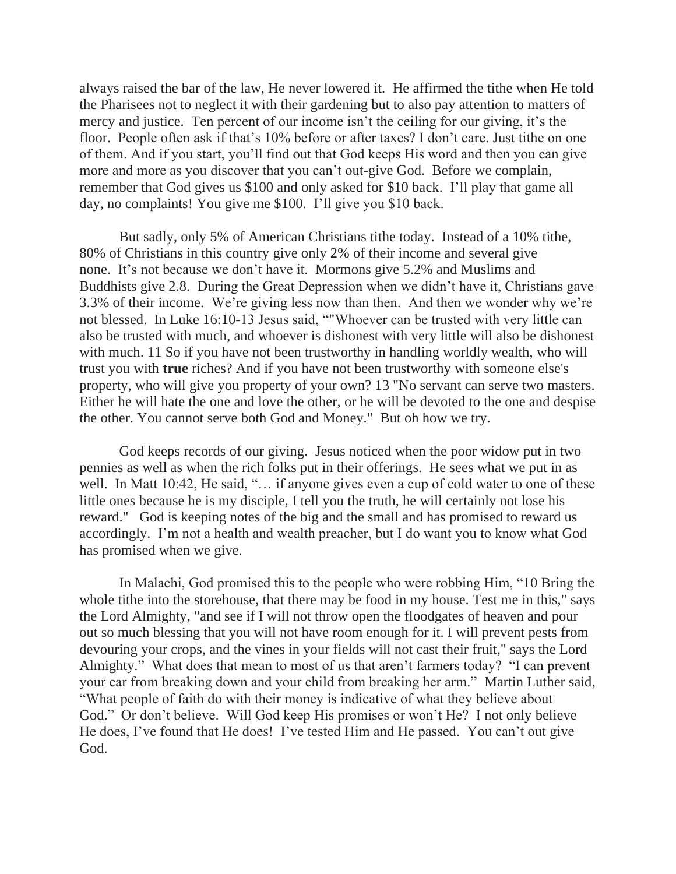always raised the bar of the law, He never lowered it. He affirmed the tithe when He told the Pharisees not to neglect it with their gardening but to also pay attention to matters of mercy and justice. Ten percent of our income isn't the ceiling for our giving, it's the floor. People often ask if that's 10% before or after taxes? I don't care. Just tithe on one of them. And if you start, you'll find out that God keeps His word and then you can give more and more as you discover that you can't out-give God. Before we complain, remember that God gives us \$100 and only asked for \$10 back. I'll play that game all day, no complaints! You give me \$100. I'll give you \$10 back.

But sadly, only 5% of American Christians tithe today. Instead of a 10% tithe, 80% of Christians in this country give only 2% of their income and several give none. It's not because we don't have it. Mormons give 5.2% and Muslims and Buddhists give 2.8. During the Great Depression when we didn't have it, Christians gave 3.3% of their income. We're giving less now than then. And then we wonder why we're not blessed. In Luke 16:10-13 Jesus said, ""Whoever can be trusted with very little can also be trusted with much, and whoever is dishonest with very little will also be dishonest with much. 11 So if you have not been trustworthy in handling worldly wealth, who will trust you with **true** riches? And if you have not been trustworthy with someone else's property, who will give you property of your own? 13 "No servant can serve two masters. Either he will hate the one and love the other, or he will be devoted to the one and despise the other. You cannot serve both God and Money." But oh how we try.

God keeps records of our giving. Jesus noticed when the poor widow put in two pennies as well as when the rich folks put in their offerings. He sees what we put in as well. In Matt 10:42, He said, "... if anyone gives even a cup of cold water to one of these little ones because he is my disciple, I tell you the truth, he will certainly not lose his reward." God is keeping notes of the big and the small and has promised to reward us accordingly. I'm not a health and wealth preacher, but I do want you to know what God has promised when we give.

In Malachi, God promised this to the people who were robbing Him, "10 Bring the whole tithe into the storehouse, that there may be food in my house. Test me in this," says the Lord Almighty, "and see if I will not throw open the floodgates of heaven and pour out so much blessing that you will not have room enough for it. I will prevent pests from devouring your crops, and the vines in your fields will not cast their fruit," says the Lord Almighty." What does that mean to most of us that aren't farmers today? "I can prevent your car from breaking down and your child from breaking her arm." Martin Luther said, "What people of faith do with their money is indicative of what they believe about God." Or don't believe. Will God keep His promises or won't He? I not only believe He does, I've found that He does! I've tested Him and He passed. You can't out give God.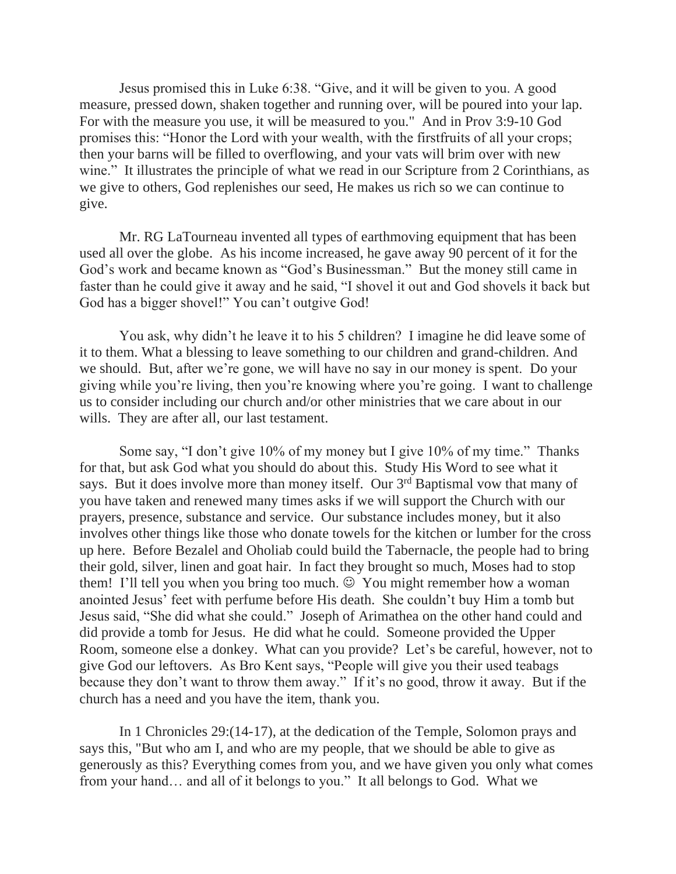Jesus promised this in Luke 6:38. "Give, and it will be given to you. A good measure, pressed down, shaken together and running over, will be poured into your lap. For with the measure you use, it will be measured to you." And in Prov 3:9-10 God promises this: "Honor the Lord with your wealth, with the firstfruits of all your crops; then your barns will be filled to overflowing, and your vats will brim over with new wine." It illustrates the principle of what we read in our Scripture from 2 Corinthians, as we give to others, God replenishes our seed, He makes us rich so we can continue to give.

Mr. RG LaTourneau invented all types of earthmoving equipment that has been used all over the globe. As his income increased, he gave away 90 percent of it for the God's work and became known as "God's Businessman." But the money still came in faster than he could give it away and he said, "I shovel it out and God shovels it back but God has a bigger shovel!" You can't outgive God!

You ask, why didn't he leave it to his 5 children? I imagine he did leave some of it to them. What a blessing to leave something to our children and grand-children. And we should. But, after we're gone, we will have no say in our money is spent. Do your giving while you're living, then you're knowing where you're going. I want to challenge us to consider including our church and/or other ministries that we care about in our wills. They are after all, our last testament.

Some say, "I don't give 10% of my money but I give 10% of my time." Thanks for that, but ask God what you should do about this. Study His Word to see what it says. But it does involve more than money itself. Our 3<sup>rd</sup> Baptismal vow that many of you have taken and renewed many times asks if we will support the Church with our prayers, presence, substance and service. Our substance includes money, but it also involves other things like those who donate towels for the kitchen or lumber for the cross up here. Before Bezalel and Oholiab could build the Tabernacle, the people had to bring their gold, silver, linen and goat hair. In fact they brought so much, Moses had to stop them! I'll tell you when you bring too much.  $\odot$  You might remember how a woman anointed Jesus' feet with perfume before His death. She couldn't buy Him a tomb but Jesus said, "She did what she could." Joseph of Arimathea on the other hand could and did provide a tomb for Jesus. He did what he could. Someone provided the Upper Room, someone else a donkey. What can you provide? Let's be careful, however, not to give God our leftovers. As Bro Kent says, "People will give you their used teabags because they don't want to throw them away." If it's no good, throw it away. But if the church has a need and you have the item, thank you.

In 1 Chronicles 29:(14-17), at the dedication of the Temple, Solomon prays and says this, "But who am I, and who are my people, that we should be able to give as generously as this? Everything comes from you, and we have given you only what comes from your hand… and all of it belongs to you." It all belongs to God. What we